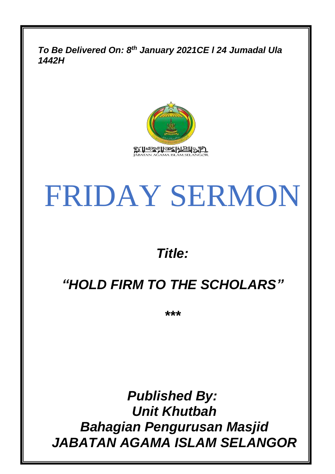*To Be Delivered On: 8 th January 2021CE l 24 Jumadal Ula 1442H*



# FRIDAY SERMON

*Title:*

### *"HOLD FIRM TO THE SCHOLARS"*

*\*\*\**

*Published By: Unit Khutbah Bahagian Pengurusan Masjid JABATAN AGAMA ISLAM SELANGOR*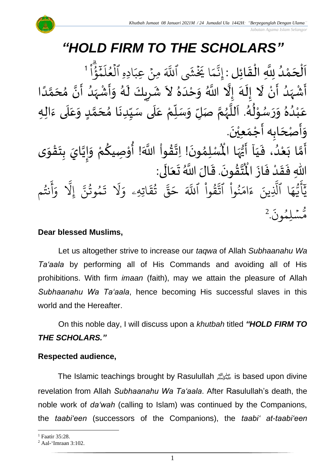

## *"HOLD FIRM TO THE SCHOLARS"*

์<br>ว اَلْحَمْدُ لِلَّهِ الْقَائِلِ : إِنَّمَا يَخْشَى ٱللَّهَ مِنْ عِبَادِهِ ٱلْعُلَمِّؤ  $\overline{\phantom{a}}$  $\frac{1}{2}$ و<br>ا 。<br>C  $\overline{\phantom{a}}$ ش<br>مر  $\frac{1}{2}$ ֦֧֦֧֦֧֦֧֦֧֦֧֦֧֦֧֜֜֜֓֓<br>**֡**  $\overline{a}$  $\frac{1}{2}$ ا قا<br>و َہَرَ<br>∡ ⊬<br>م ر<br>آ ادِهِ العُل و<br>م ہ<br>1  $\overline{a}$ مِنٌ عِبَـ ؚ<br>ٛ ا يَخْشَى ٱللَّهَ  $\frac{1}{2}$ ے<br>م ِ<br>په نَّمَا يَخۡشَى ٱللَّهَ مِنۡ عِبَادِهِ ٱلۡعُلَمۡوُٰاْ ٱ إ ْ ن أ د ه ش أ َل ه ل إ َل إ ه د حْ و َّللا ا ُ َل ا د م حَ م ن أ د ه ش أ و ه ل يكَ ر ش ا<br>پنج و<br>ا َ<br>زار<br>ر ا<br>د ।<br>न ِ<br>ا ۔<br>۔<br>ا ا<br>نج  $\begin{bmatrix} 1 \\ 2 \end{bmatrix}$ ا<br>الج بر<br>▲ ز<br>د  $\tilde{\cdot}$ ्<br>र ً<br>ا ة<br>م )<br>ጎ اتا  $\sum_{i=1}^{n}$  $\frac{1}{\sqrt{2}}$ ्<br>, ۔<br>ڈ र<br>∶  $\tilde{\cdot}$ ر<br>د ب<br>۱  $\overline{\phantom{a}}$  $\frac{1}{2}$ .<br>عَبْدُهُ وَرَسُوْلُهُ. اَللَّهُمَّ صَلِّ وَسَلِّمْ عَلَى سَيِّدِنَا مُحَمَّدٍ وَعَلَى ءَالِهِ ِّ  $\frac{1}{2}$  $\tilde{\cdot}$ لة<br>ح و<br>ر<br>ر نے<br>آ  $\mathbf{r}$ ءِ<br>ھ ر<br>م ់<br>^ و<br>م  $\tilde{\cdot}$  $\tilde{\cdot}$  $\frac{9}{\lambda}$ ♦<br>و ់<br>រ .<br>م َ ِ<br>م ِ<br>تار َ<br>مُ  $\ddot{\phantom{0}}$  $\frac{1}{2}$  $\frac{1}{2}$  $\tilde{\cdot}$ <u>لم</u> َ<br>آ .<br>ح  $\frac{1}{2}$ .<br>وَأَصْحَابِه أَجْمَعِيْنَ.  $\overline{\phantom{a}}$ د<br>ب  $\tilde{\cdot}$  $\ddot{\phantom{0}}$ ់<br>រ  $\frac{1}{\sqrt{2}}$ ر<br>پنج واصحابِ اجْمَعِين.<br>أَمَّا بَعْدُ، فَيَا أَيُّهَا الْمُسْلِمُونَ! اِتَّقُواْ اللَّهَ! أُوْصِيكُمْ وَإِيَّايَ بِتَقْوَى َ  $\frac{1}{2}$ و<br>ا ْ<br>ْ َ<br>ِمَ ا<br>م ر<br>پنج ر<br>پنج  $\tilde{\cdot}$ ֦֧֦֧֦֧<u>֦</u>  $\frac{1}{2}$  $\frac{3}{2}$ ان<br>ا !<br>...  $\tilde{\cdot}$ ر<br>م ֦֧֦֧֦ **ہ**<br>'' ֦֧֦֧֦֧֦֧֦֧֦֧֦֧֦֧֦֧֦֧֦֧֦֧֜֓<br>**֧**  $\frac{9}{4}$ الله  $\ddot{\phantom{0}}$ ›<br>ል مًى المُأْ م<br>ما ُ<br>وُلا<br>• ى: ال ع ت الَ َّللا <sup>ا</sup> ُ .ق ون ق ت ر<br>آ  $\frac{1}{2}$ ئے<br>بہ  $\ddot{\phantom{0}}$ ें  $\frac{1}{2}$ ا<br>من الله ِّ<br>مُ اللّٰهِ فَقَدْ فَازَ الْمُ  $\frac{1}{2}$  $\ddot{\cdot}$ ْ  $\frac{1}{2}$ -<br>: ا  $\frac{1}{4}$ ه و<br>د سَ<br>ڊ ِ<br>بم  $\sqrt{2}$ َ<br>د يَأَيُّهَا ٱلَّذِينَ ِ<br>آ لَّذِينَ ءَامَنُوا  $\ddot{\phantom{0}}$ ُو<br>و  $\frac{1}{2}$ ام  $\tilde{\epsilon}$ ءَامَنُوا اتَّقُوا  $\frac{1}{2}$ ور ِ<br>بہو تَّقُوا ا ِ<br>آھ َللَّهَ حَقَّ تُقَاتِهِ  $\ddot{\phantom{0}}$ ؞ٛ؞ۧ<br>تق و<br>په ِ<br>په قی  $\tilde{\phantom{0}}$ حَقُّ تُقَاتِهِۦ وَلا تَمُوتُنَّ إِلا وَآنتُم و<br>په ِ<br>ج أ  $\frac{1}{\alpha}$ و یہ<br>1 َِل إ ِ<br>پ مُوتَنَّ و<br>په و  $\ddot{\cdot}$ ت ر<br>1 َل ِ<br>م و  $\ddot{\cdot}$ مُّسۡلِمُونَ<sup>2</sup> و<br>م  $\ddot{\phantom{0}}$ س و<br>مم

#### **Dear blessed Muslims,**

Let us altogether strive to increase our *taqwa* of Allah *Subhaanahu Wa Ta'aala* by performing all of His Commands and avoiding all of His prohibitions. With firm *imaan* (faith), may we attain the pleasure of Allah *Subhaanahu Wa Ta'aala*, hence becoming His successful slaves in this world and the Hereafter.

On this noble day, I will discuss upon a *khutbah* titled *"HOLD FIRM TO THE SCHOLARS."*

#### **Respected audience,**

The Islamic teachings brought by Rasulullah صلى الله عليه وسلم is based upon divine revelation from Allah *Subhaanahu Wa Ta'aala*. After Rasulullah's death, the noble work of *da'wah* (calling to Islam) was continued by the Companions, the *taabi'een* (successors of the Companions), the *taabi' at-taabi'een*

<sup>&</sup>lt;sup>1</sup> Faatir 35:28.

<sup>2</sup> Aal-'Imraan 3:102.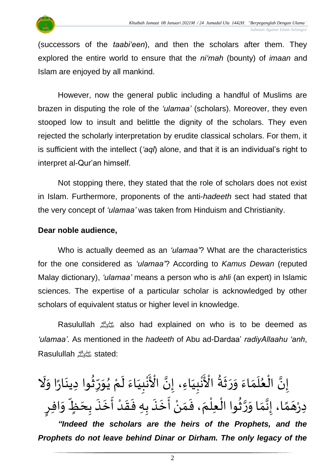

(successors of the *taabi'een*), and then the scholars after them. They explored the entire world to ensure that the *ni'mah* (bounty) of *imaan* and Islam are enjoyed by all mankind.

However, now the general public including a handful of Muslims are brazen in disputing the role of the *'ulamaa'* (scholars). Moreover, they even stooped low to insult and belittle the dignity of the scholars. They even rejected the scholarly interpretation by erudite classical scholars. For them, it is sufficient with the intellect (*'aql*) alone, and that it is an individual's right to interpret al-Qur'an himself.

Not stopping there, they stated that the role of scholars does not exist in Islam. Furthermore, proponents of the anti-*hadeeth* sect had stated that the very concept of *'ulamaa'* was taken from Hinduism and Christianity.

#### **Dear noble audience,**

Who is actually deemed as an *'ulamaa'*? What are the characteristics for the one considered as *'ulamaa'*? According to *Kamus Dewan* (reputed Malay dictionary), *'ulamaa'* means a person who is *ahli* (an expert) in Islamic sciences. The expertise of a particular scholar is acknowledged by other scholars of equivalent status or higher level in knowledge.

Rasulullah صلى الله عليه وسلم also had explained on who is to be deemed as *'ulamaa'*. As mentioned in the *hadeeth* of Abu ad-Dardaa' *radiyAllaahu 'anh*, Rasulullahصلى الله عليه وسلمstated:

ِ<br>پنج َنْبِيَاءَ لَمْ يُوَرِّثُوا دِينَارًا وَلَا  $\tilde{\cdot}$  $\frac{1}{2}$  $\ddot{\phantom{0}}$ ُ<br>័ ر<br>ڊ ِ<br>ٌ  $\frac{1}{2}$ ُ<br>≀ ْ  $\tilde{\mathbf{r}}$  $\frac{1}{2}$ َ <u>ل</u><br>: ْزِ<br>\* َ <u>۽</u><br>ح نُبِيَاءِ، إِنَّ الْأَ لة<br>• َ <u>)</u> ْ ة<br>م ع إِنَّ الْعُلَمَاءَ وَرَثَةُ الْأَ و<br>په  $\frac{1}{2}$  $\frac{1}{2}$  $\frac{1}{2}$  $\frac{1}{2}$  $\frac{1}{2}$  $\frac{1}{1}$  $\frac{1}{2}$ ֦֧֦֧֦֧֦֧֦֧֦֧֦֧֦֧֜֜֜֓֓<br>**֡** ت<br>• <u>ر</u> دِرْهَمَّا، إِنَّمَا وَرَّثُوا الْعِلْمَ، فَمَنْ أَخَذَ بِهِ فَقَدْ أَخَذَ بِحَظٍّ وَافِرٍ  $\tilde{\cdot}$ ;;<br>∪^ َ  $\frac{1}{2}$  $\ddot{\cdot}$ ا<br>:<br>: **ٔ**  $\frac{1}{2}$  $\ddot{\cdot}$  $\ddot{\cdot}$ .<br>•<br>• ِر<br>پ ْ  $\frac{1}{2}$ ،<br>باد  $\overline{a}$ ់<br>ព្ ِّ<br>ا َ<br>مو اتا<br>پ  $\frac{1}{2}$  $\frac{1}{2}$ ن<br>•<br>•  $\frac{1}{2}$ م<br>م  $\overline{a}$ ْ *"Indeed the scholars are the heirs of the Prophets, and the Prophets do not leave behind Dinar or Dirham. The only legacy of the*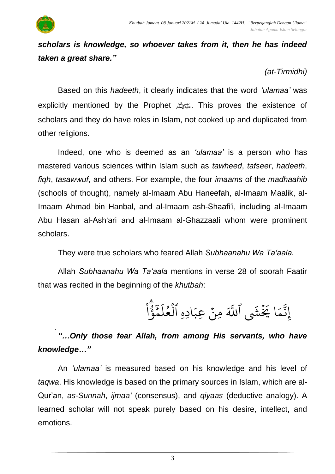

*(at-Tirmidhi)*

Based on this *hadeeth*, it clearly indicates that the word *'ulamaa'* was explicitly mentioned by the Prophet صلى الله عليه وسلم. This proves the existence of scholars and they do have roles in Islam, not cooked up and duplicated from other religions.

Indeed, one who is deemed as an *'ulamaa'* is a person who has mastered various sciences within Islam such as *tawheed*, *tafseer*, *hadeeth*, *fiqh*, *tasawwuf*, and others. For example, the four *imaams* of the *madhaahib* (schools of thought), namely al-Imaam Abu Haneefah, al-Imaam Maalik, al-Imaam Ahmad bin Hanbal, and al-Imaam ash-Shaafi'i, including al-Imaam Abu Hasan al-Ash'ari and al-Imaam al-Ghazzaali whom were prominent scholars.

They were true scholars who feared Allah *Subhaanahu Wa Ta'aala*.

Allah *Subhaanahu Wa Ta'aala* mentions in verse 28 of soorah Faatir that was recited in the beginning of the *khutbah*:

> $\overline{a}$  $\frac{1}{2}$ ا قا<br>و ۇ َہِ<br>م بز<br>حم ر<br>آ ادِهِ العُل و<br>م ہ<br>1  $\overline{a}$ مِنٌ عِبَ ؚ<br>ٛ ا يَخْشَى ٱللَّهَ  $\frac{1}{2}$ ر<br>م ِ<br>په ِن إ

#### . *"…Only those fear Allah, from among His servants, who have knowledge…"*

An *'ulamaa'* is measured based on his knowledge and his level of *taqwa*. His knowledge is based on the primary sources in Islam, which are al-Qur'an, *as-Sunnah*, *ijmaa'* (consensus), and *qiyaas* (deductive analogy). A learned scholar will not speak purely based on his desire, intellect, and emotions.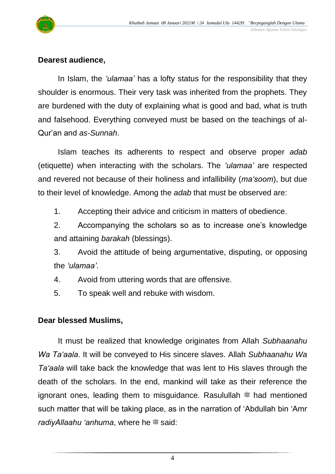

#### **Dearest audience,**

In Islam, the *'ulamaa'* has a lofty status for the responsibility that they shoulder is enormous. Their very task was inherited from the prophets. They are burdened with the duty of explaining what is good and bad, what is truth and falsehood. Everything conveyed must be based on the teachings of al-Qur'an and *as-Sunnah*.

Islam teaches its adherents to respect and observe proper *adab* (etiquette) when interacting with the scholars. The *'ulamaa'* are respected and revered not because of their holiness and infallibility (*ma'soom*), but due to their level of knowledge. Among the *adab* that must be observed are:

1. Accepting their advice and criticism in matters of obedience.

2. Accompanying the scholars so as to increase one's knowledge and attaining *barakah* (blessings).

3. Avoid the attitude of being argumentative, disputing, or opposing the *'ulamaa'*.

4. Avoid from uttering words that are offensive.

5. To speak well and rebuke with wisdom.

#### **Dear blessed Muslims,**

It must be realized that knowledge originates from Allah *Subhaanahu Wa Ta'aala*. It will be conveyed to His sincere slaves. Allah *Subhaanahu Wa Ta'aala* will take back the knowledge that was lent to His slaves through the death of the scholars. In the end, mankind will take as their reference the ignorant ones, leading them to misguidance. Rasulullah  $\frac{1}{20}$  had mentioned such matter that will be taking place, as in the narration of 'Abdullah bin 'Amr *radiyAllaahu 'anhuma*, where he  $\ddot{a}$  said: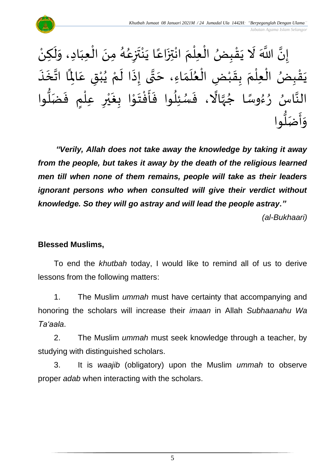

ْ إِنَّ اللَّهَ لَا يَقْبِضُ الْعِلْمَ انْتِزَاعًا يَنْتَزِعُهُ مِنَ الْعِبَادِ، وَلَكِنْ  $\tilde{\cdot}$  $\tilde{\cdot}$  $\frac{1}{1}$ ֦֧֦֦֧֦֧֝֝<u>֦</u>  $\ddot{\phantom{0}}$ و<br>گ ر<br>م  $\ddot{\phantom{0}}$ بة<br>أ ْ  $\ddot{\phantom{0}}$ ً<br>م  $\ddot{\phantom{0}}$ ة<br>م ْ ्<br>< ់<br>( ֦֧֦֧֦֧֦֧֦֧֦֧֦֧֜֜֜֜֓֓<br>֧֝֜֜֜֜֜֜֜֜֜֜֜֜֜֞֟  $\ddot{\cdot}$ ֦֧֦֧֦֧֦֧<u>֦</u>  $\frac{1}{2}$  $\tilde{\mathbf{r}}$ ت<br>• ֦֧֦֧֦֧<br>֧ يَقْبِضُ الْعِلْمَ بِقَبْضِ الْعُلَمَاءِ، حَتَّى إِذَا لَمْ يُبْقِ عَالِمًا اتَّخَذَ ْ  $\frac{1}{2}$  $\frac{1}{2}$ ់<br>( ّ<br>أ  $\ddot{\cdot}$ ់<br>ស្  $\ddot{\ }$  $\ddot{\cdot}$ ا<br>-<br>• ا<br>تابع<br>: .<br>م  $\ddot{\phantom{0}}$ .<br>م ْ ُ<br>ُ ْ  $\tilde{\mathbf{r}}$  $\tilde{\cdot}$ ن<br>\*  $\overline{\phantom{a}}$ ์ $\frac{1}{2}$  $\frac{1}{1}$  $\frac{1}{2}$ ِ<br>النَّاسُ رُءُوسًا جُهَّالًا، فَسُئِلُوا فَأَفْتَوْا بِغَيْرِ عِلْمٍ فَضَلُّوا ُّ  $\ddot{\cdot}$ ់<br>( ់<br>ព ي ا<br>-<br>• י<br>י  $\frac{1}{2}$ ֦֧֦֦֧֝<u>֦</u> ا<br>-<br>- $\frac{1}{2}$ بز<br>و ر<br>ر  $\frac{1}{2}$ ب<br>أ ة<br>ا ٍ<br>ٌ ً<br>بر<br>را  $\frac{2}{1}$  $\frac{1}{\sqrt{2}}$ و<br>و ا<br>په وا ر<br>وُ اً ضَ  $\frac{1}{2}$ م<br>أ  $\frac{1}{2}$ وَاْ

*"Verily, Allah does not take away the knowledge by taking it away from the people, but takes it away by the death of the religious learned men till when none of them remains, people will take as their leaders ignorant persons who when consulted will give their verdict without knowledge. So they will go astray and will lead the people astray."*

*(al-Bukhaari)*

#### **Blessed Muslims,**

To end the *khutbah* today, I would like to remind all of us to derive lessons from the following matters:

1. The Muslim *ummah* must have certainty that accompanying and honoring the scholars will increase their *imaan* in Allah *Subhaanahu Wa Ta'aala*.

2. The Muslim *ummah* must seek knowledge through a teacher, by studying with distinguished scholars.

3. It is *waajib* (obligatory) upon the Muslim *ummah* to observe proper *adab* when interacting with the scholars.

5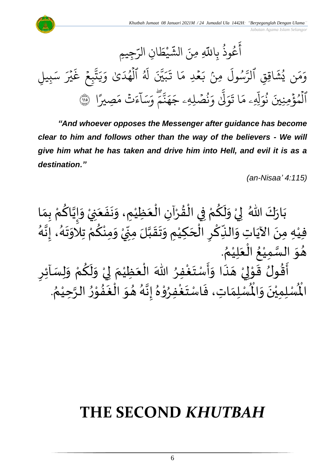*Jabatan Agama Islam Selangor*



*"And whoever opposes the Messenger after guidance has become clear to him and follows other than the way of the believers - We will give him what he has taken and drive him into Hell, and evil it is as a destination."*

*(an-Nisaa' 4:115)*

ْ بَارَكَ اللّهُ ۖ لِيْ وَلَكُمْ فِي الْقُرْآنِ الْعَظِيْمِ، وَنَفَعَنِيْ وَإِيَّاكُمْ بِمَا  $\overline{\phantom{a}}$  $\ddot{\cdot}$  $\ddot{\phantom{0}}$  $\frac{1}{2}$ ំ<br>រ َ ֦֧֦֦֦֦֦֦֦֧֦֧֦֧֦֧֦֧֦֧֦֧֦֧֦֧֦֧֦֧֪֧֝֝֝֟֓֟֓֟֓֟֓֟֓֟֓֟֓֟֓֟֓֟֓֟֓֟֓֟֓֟֓֟֩֕֟֓֟֓֟֩֕֟֓֟֓֟֓֟֓֟֓֟֓֟֓֟֓֟֓֟֓֟֓֟֩֩֓֝֟֟֓֟֩֓֝֟֝֟ ْ  $\frac{9}{4}$ ֦֧֦֧֦֧֦֧֦֧֦֧֦֧֜֜֜֜֜֓֓<br>֧֝֜֜֜֜֜֜֜֜֜֜֜֜֜֞֟ ْ <u>ہ</u>  $\tilde{\mathbf{r}}$  $\frac{1}{2}$ ْ  $\frac{1}{2}$  $\ddot{\phantom{0}}$  $\frac{1}{2}$ ْ <u>ل</u> اتا<br>م  $\frac{1}{2}$  $\tilde{\cdot}$ ।<br>दे .<br>فِيْهِ مِنَ الآيَاتِ وَالنِّكْرِ الْحَكِيْمِ وَتَقَبَّلَ مِنِّيْ وَمِنْكُمْ تِلَاوَتَهُ، إِنَّهُ اسمبر<br>اب  $\frac{1}{2}$ —<br>}<br>1  $\ddot{\phantom{0}}$ ن<br>اس ْ ر<br>م ْ ∕<br>^ ْ ְ<br>ֳ<br>∙  $\sum$ ا<br>ما  $\frac{1}{2}$  $\ddot{\phantom{0}}$ ا<br>د ٝ<br>ؙ  $\overline{\phantom{a}}$ ۔<br>ا  $\sum$ ا<br>م ِ<br>پہ  $\frac{1}{2}$ ِ<br>پُ  $\frac{1}{2}$ ْ . <sub>ይ</sub> هُوَ السَّمِيْعُ الْعَلِيْمُ `<br>°  $\frac{1}{2}$ ا<br>أ .<br>وُ ْ سه<br>تا  $\frac{1}{2}$  $\frac{1}{2}$  $\overline{\phantom{a}}$  ر آئ سَ ل و م ك ل و ي م ظي ع ال هللاَ فر غ ت سْ أ ا و ذ ه ي و ق ولُ ق أ  $\tilde{\cdot}$ ْ <u>ل</u>و  $\tilde{\mathbf{r}}$  $\tilde{\cdot}$ ْ إ  $\frac{1}{2}$ ْ  $\overline{\phantom{a}}$ ْ ∫<br>∕ ِ<br>وف  $\ddot{\phantom{0}}$  $\frac{1}{2}$  $\tilde{\cdot}$ ֝׀<br>֧֪֪֪֪֪֪֪֪֓֝֝֝֝֝֝֟ َ ْ إ ֦֦֝<br>֝**֝**  $\frac{1}{2}$  $\frac{9}{2}$ ا<br>پن ֦֧֦֧֦ وي هدا واستعفر الا<br>لْمُسْلِمَاتِ، فَاسْتَغْفِرُوْ  $\frac{1}{2}$ ا<br>:<br>:  $\ddot{\ }$  $\frac{1}{2}$  $\frac{1}{2}$ اقون قو<br>لْمُنْلِمِيْنَ وَالْمُ  $\frac{1}{2}$ ़<br>; ْ الْمُسْلِمِيْنَ وَالْمُسْلِمَاتِ، فَاسْتَغْفِرُوْهُ إِنَّهُ هُوَ الْغَفُوْرُ الرَّحِيْمُ. ُ ر<br>د ا<br>تار ۔<br>م י<br>י ِ<br>په  $\ge$ ا<br>ف ์ $\overline{\phantom{a}}$  $\frac{1}{2}$ —<br>ر<br>ا ا<br>تار<br>•  $\frac{1}{2}$  $\frac{1}{2}$ 

## **THE SECOND** *KHUTBAH*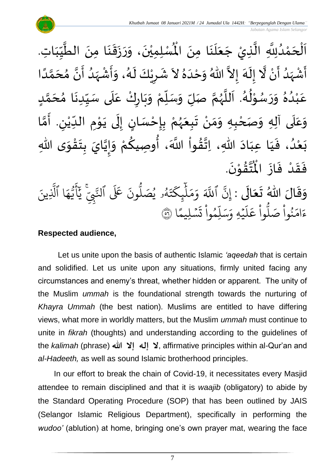لْمُسْلِمِيْنَ، وَرَزَقَنَا مِنَ الطَّيِّبَاتِ  $\frac{1}{2}$  $\frac{1}{2}$ ِّس ا<br>ا  $\ddot{\phantom{0}}$  $\ddot{\phantom{0}}$  $\ddot{\phantom{0}}$  $\ddot{\cdot}$  $\frac{1}{2}$  $\frac{1}{2}$  $\ddot{\phantom{0}}$ ْ اَلْحَمْدُلِلَّهِ الَّذِيْ جَعَلَنَا مِنَ الْمُسْلِمِيْنَ، وَرَزَقَنَا مِنَ الطَّيِّبَاتِ.  $\ddot{\phantom{0}}$  $\ddot{\phantom{0}}$  $\overline{\mathbf{a}}$ َ  $\overline{\phantom{a}}$ ا<br>ا ا<br>په و<br>و ់<br>?  $\overline{\phantom{a}}$ ْ  $\overline{\phantom{a}}$ ا<br>الم أَشْهَدُ أَنْ لَّا إِلَهَ إِلاَّ اللّهُ وَحْدَهُ لاَ شَرِيْكَ لَهُ، وَأَشْهَدُ أَنَّ مُحَمَّدًا ْ  $\tilde{\mathbf{z}}$ و<br>ا ً<br>زلا ْ ِ<br>پنج و<br>گ اتا ં<br>ત  $\tilde{\cdot}$  $\frac{1}{2}$  $\tilde{\phantom{0}}$  $\frac{1}{2}$ َ  $\frac{1}{2}$ ً<br>أ ن<br>م َ  $\frac{1}{2}$ ن<br>• ا<br>ج <br>ا  $\frac{1}{2}$ ْ  $\frac{1}{2}$  $\tilde{\cdot}$ و<br>گ  $\tilde{\mathbf{r}}$ ْ  $\overline{\phantom{a}}$  $\frac{1}{2}$ عَبْدُهُ وَرَسُوْلُهُ. اَللَّهُمَّ صَلِّ وَسَلِّمْ وَبَارِكْ عَلَى سَيِّدِنَا مُحَمَّدٍ <u>لم</u> ل<br>م  $\overline{\phantom{a}}$  $\frac{1}{2}$  $\ddot{\phantom{0}}$ ِّ  $\frac{1}{2}$ ے<br>آ ِ<br>م ْ  $\ddot{\phantom{0}}$ ์ $\frac{1}{2}$ ْ  $\frac{1}{\sqrt{2}}$  $\overline{r}$  $\frac{1}{2}$ ن<br>م ر<br>ر<br>ر ا<br>ا  $\ddot{\phantom{0}}$ و<br>گ  $\frac{1}{2}$ ּ<br>י و<br>ر  $\frac{1}{2}$  $\frac{1}{2}$  $\frac{2}{\lambda}$ .<br>و ْ .<br>م وَعَلَى آلِهِ وَصَحْبِهِ وَمَنْ تَبِعَهُمْ بِإِحْسَانٍ إِلَى يَوْمِ الدِّيْنِ. أَمَّا  $\overline{\mathbf{1}}$ .<br>م  $\tilde{\cdot}$ ن<br>م َ ر ٝ<br>ؙ ِّ  $\ddot{\phantom{0}}$ י<br>י  $\ddot{\phantom{0}}$  $\ddot{\phantom{0}}$ ل  $\frac{1}{2}$ <u>ل</u> ֦֧֦֧<u>֦</u> <u>د</u><br>-ْ ر<br>ر<br>ر  $\frac{1}{2}$  $\ddot{\phantom{0}}$ ំ<br>•  $\frac{1}{2}$  $\frac{1}{2}$ ֦֧<u>֦</u> ر<br>ا وا ق هللا، ات اد عب ا ي ، ف د ع ى هللا ب و ق ت ب ايَ ي إ و م و صيك ، أ َّللا اَ  $\frac{9}{4}$ ا<br>مذا  $\ddot{\phantom{0}}$ َ َ  $\frac{1}{2}$ و<br>و ំ<br>រ  $\ddot{\ }$  $\frac{1}{2}$ ֦֧֦֧֦֧֝<u>֦</u>  $\ddot{\phantom{0}}$  $\frac{1}{2}$ ن<br>•<br>• !<br>-<br>- $\frac{1}{2}$ ْ **∕**<br>م ُ<br>وُ .  $\ddot{\phantom{0}}$ تَقَوْنَ ֦֧֦֝<br>**֧**  $\frac{9}{4}$ ا<br>استقطا<br>جو ر<br>مو فَقَدْ فَازَ الْمُ  $\ddot{\cdot}$  $\ddot{\cdot}$ **ٔ**  $\frac{1}{2}$  $\frac{1}{2}$ وَقَالَ اللّٰهُ تَعَالَى : إِنَّ  $\ddot{\phantom{0}}$  $\frac{1}{2}$  $\frac{1}{2}$  $\frac{1}{2}$  $\frac{1}{2}$ نّ ا إ ِ<br>آک للَّهَ وَمَلْيِكْتَهُ و<br>لم  $\ddot{\phantom{0}}$ ت ر<br>م چکے<br>غ ِ<br>آ  $\mu$  $\frac{1}{2}$ بر<br>م  $\frac{1}{c}$ وَمَلَٰٓيٍكَتَهُۥ يُصَلُّونَ عَلَى ون و<br>ا يُصَلُّونَ عَلَى ٱلنَّبِيِّ و<br>د ِ ي لنَّبِّيّ يَاْيُّهَا ِ<br>م ه و<br>د سَ<br>ڊ ِ<br>بِم  $\overline{\mathcal{L}}$ ِ<br>د يَأَيُّهَا ٱلَّذِينَ یہ<br>۱ َّل ا  $\frac{2}{3}$ ن<br>سليمًا  $\ddot{\phantom{0}}$  $\ddot{\cdot}$ ت  $\ddot{\cdot}$ وا ِم و ء<br>آ ل ِ<br>په بر<br>سد  $\frac{1}{c}$ يُهِ وَ, ہ<br>م ۔<br>آ  $\uplambda$ ِ<br>م ع وا  $\ddot{\cdot}$ و<br>ا م<br>نُواْ صَلَّا  $\ddot{\cdot}$ ر<br>و  $\frac{1}{2}$ ءَامَنُواْ صَلُّواْ عَلَيْهِ وَسَلِّمُواْ تَسۡلِيمًا ۞

#### **Respected audience,**

Let us unite upon the basis of authentic Islamic *'aqeedah* that is certain and solidified. Let us unite upon any situations, firmly united facing any circumstances and enemy's threat, whether hidden or apparent. The unity of the Muslim *ummah* is the foundational strength towards the nurturing of *Khayra Ummah* (the best nation). Muslims are entitled to have differing views, what more in worldly matters, but the Muslim *ummah* must continue to unite in *fikrah* (thoughts) and understanding according to the guidelines of the *kalimah* (phrase) **لا إله إلا الله عليه: affirmative principles within al-Qur'an and** *al-Hadeeth,* as well as sound Islamic brotherhood principles.

In our effort to break the chain of Covid-19, it necessitates every Masjid attendee to remain disciplined and that it is *waajib* (obligatory) to abide by the Standard Operating Procedure (SOP) that has been outlined by JAIS (Selangor Islamic Religious Department), specifically in performing the *wudoo'* (ablution) at home, bringing one's own prayer mat, wearing the face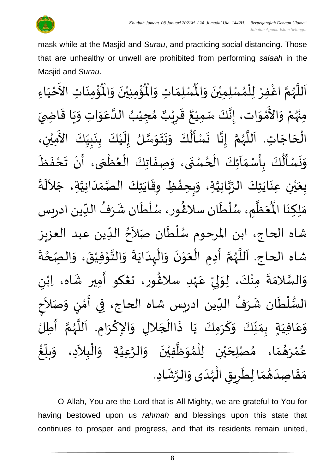

 *Jabatan Agama Islam Selangor*

mask while at the Masjid and *Surau*, and practicing social distancing. Those that are unhealthy or unwell are prohibited from performing *salaah* in the Masjid and *Surau*.

ر<br>ؤمن ់<br>: ُْ ِ<br>لْمُسْلِمَاتِ وَالْمُ  $\frac{1}{2}$  $\frac{1}{2}$ اَللَّهُمَّ اغْفِرْ لِلْمُسْلِمِيْنَ وَالْمُسْلِمَاتِ وَالْمُؤْمِنِيْنَ وَالْمُؤْمِنَاتِ  $\frac{1}{2}$  $\ddot{\phantom{0}}$ ់<br>រ ›<br>ለ ٝ<br>ا ِ<br>د ا<br>م و<br>ر ا<br>آ ً<br>آ  $\ddot{\phantom{0}}$ ់<br>:  $\mathbf{r}^{\circ}$ يْنَ وَالْمُؤْمِنَاتِ الأَحْيَاءِ  $\frac{1}{2}$  $\ddot{\phantom{0}}$ ់<br>ព  $\frac{1}{1}$ ْ لا<br>تح ់<br>រ مِنْهُمْ وَالأَمْوَات، إِنَّكَ سَمِيْعٌ قَرِيْبٌ مُجِيْبُ الدَّعَوَاتِ وَيَا قَاضِيَ بو<br>زر ْ  $\frac{1}{2}$ י<br>י -<br>چ  $\frac{1}{2}$  $\frac{1}{2}$  $\ddot{\mathbf{r}}$  $\ddot{\phantom{0}}$  $\frac{1}{2}$  $\frac{1}{2}$ ِ<br>م ان<br>ا ُ ْ )<br>ጎ ه<br>د ا ي ر ق  $\sum$ ر<br>پن  $\frac{1}{2}$ ، إِنَّكَ سَمِيْعٌ ْ لة<br>\*  $\frac{1}{2}$ الْحَاجَاتِ. اَللَّهُمَّ إِنَّا نَسْأَلُكَ وَنَتَوَسَّلُ إِلَيْكَ بِنَبِيِّكَ الأَمِيْنِ، ْ َ<br>ج ِ<br>∪<br>∫  $\frac{1}{2}$ <u>ل</u><br>:  $\ddot{\phantom{0}}$ <u>ر</u><br>-֦֦֝֝֝<br>֧֝֝֝֝**֟**  $\tilde{\mathbf{r}}$  $\frac{1}{2}$ ان<br>سا  $\frac{1}{2}$  $\ddot{\phantom{0}}$  $\ddot{\phantom{0}}$  $\tilde{\cdot}$  $\ddot{\ddot{\cdot}}$  $\frac{1}{2}$  $\ddot{\phantom{0}}$ ن<br>•<br>•  $\frac{1}{2}$ انا<br>م و<br>ر ا<br>آ ۔<br>آ  $\overline{\phantom{a}}$ ْ<br>ا **زا** وَنَسْأَلُكَ بِأَسْمَاَئِكَ الْحُسْنَى، وَصِفَاتِكَ الْعُظْمَى، أَنْ تَحْفَظَ  $\ddot{\phantom{0}}$  $\frac{1}{2}$  $\ddot{\phantom{0}}$ ٍ<br>ِ ֦֧֦֧֦֧֦֧֦֧֦֧֦֧֦֧֜֜֓֓֓֟֓֟֓֟֓<br>**֡**  $\frac{1}{\lambda}$  $\sum_{i=1}^{n}$ <u>ر</u><br>: ۔<br>ا  $\frac{1}{2}$  $\ddot{\phantom{0}}$  $\frac{1}{2}$  $\mathbf{r}$  $\ddot{\cdot}$  $\ddot{\phantom{0}}$ ْ  $\frac{1}{2}$ َ ֦֧֦֧֦֧֦֧֦֧֦֧֦֧֦֧֦֧֦֧֦֧֟֓֓֓֓<br>**֧** }<br>• ֦֧֦֧֦֧֦֧<br>֧֩֩  $\ddot{\cdot}$ بِعَيْنِ عِنَايَتِكَ الرَّبَّانِيَّةِ، وَبِحِفْظِ وِقَايَتِكَ الصَّمَدَانِيَّةِ، جَلاَلَةَ ِ<br>ا  $\sim$ ان<br>ا  $\frac{1}{1}$  $\frac{1}{2}$ ان<br>مر  $\ddot{\phantom{0}}$  $\ddot{\mathbf{r}}$ ֦֧֦֧֦֧֦֧֝<u>֦</u> ر<br>مر  $\frac{1}{2}$ ا<br>ا ا<br>تاب ان<br>م  $\frac{1}{2}$  $\ddot{\phantom{0}}$ ់<br>( ه<br>با  $\frac{1}{2}$ .<br>مَظَّمٍ، سُلْطَان سلاغُور، سُلْطَان شَرَفُ الدِّين ادريس  $\frac{1}{1}$ ُ  $\ddot{\phantom{0}}$  $\tilde{\cdot}$ ْ ُ<br>م }<br>፟<br>፟ ر<br>م بر<br>ا و<br>م ر<br>اتا َ َ<br>مو مَلِكِنَا الْمُ ا<br>با ົ $\tilde{\cdot}$ شاه الحاج، ابن المرحوم سُلْطَان صَلاَحُ الدِّين عبد العزيز  $\frac{1}{\sqrt{2}}$ ፟<br>፟  $\sim$ ۔<br>نام ا<br>ا ُ<br>م شاه الحاج. اَللَّهُمَّ أَدِمِ الْعَوْنَ وَالْهِدَايَةَ وَالتَّوْفِيْقَ، وَالصِّحَّةَ ا<br>م ة<br>م  $\tilde{\cdot}$  $\ddot{\cdot}$ ֦֧<sup>֦</sup> י<br>י ان<br>اب  $\tilde{\cdot}$  $\ddot{\cdot}$  $\ddot{\phantom{0}}$  $\frac{1}{1}$ ْ  $\tilde{\cdot}$  $\ddot{\phantom{0}}$ י<br>י  $\frac{1}{2}$ ا<br>أ  $\ddot{\phantom{0}}$  $\frac{1}{2}$ ن<br>م ر<br>ر ۔<br>ا َ وَالسَّلامَةَ مِنْكَ، لِوَلِيِّ عَهْدِ سلاڠُور، تعْكو أَمِير شَاه، اِبْنِ ٝ<br>ؙ  $\mathbf{r}$  $\frac{1}{2}$ )<br>፟ ٝ<br>; .<br>م ِ<br>∪<br>′  $\frac{1}{2}$ ل  $\frac{1}{2}$ ْ ֦֧<sup>֦</sup>  $\frac{1}{2}$ ا<br>ما  $\frac{1}{2}$ السُّلْطَان شَرَفُ الدِّين ادريس شاه الحاج، فِي أَمْنٍ وَصَلاَحِ  $\frac{1}{\sqrt{2}}$ ُ  $\frac{1}{2}$  $\tilde{\mathbf{r}}$ ֦֧֦֧֦֧֦֧֦֧֦֧֦֧֦֧֦֧֦֧֦֧֜֜֓֓<br>**֧** ر<br>ر<br>ر  $\frac{1}{2}$ ।<br>इ َ  $\frac{1}{2}$ )<br>=<br>= י<br>י ِ<br>پ -<br>وَعَافِيَةٍ بِمَنَّكَ وَكَرَمِكَ يَا ذَاالْجَلالِ وَالإِكْرَامِ. اَللَّهُمَّ أَطِلُّ  $\ddot{\phantom{0}}$ َ  $\frac{1}{2}$ ِّ<br>ِ∙  $\frac{1}{2}$  $\frac{1}{\lambda}$  $\frac{1}{2}$ َ .<br>م  $\frac{1}{2}$  $\frac{1}{2}$ ن<br>م ैं<br>ै<br>⁄-ا<br>تار<br>ا  $\overline{\phantom{a}}$  $\ddot{\phantom{0}}$ ا<br>د  $\tilde{\cdot}$  $\overline{\phantom{a}}$ ֦֧֦֧֦֧֦֧֦֧֦֧֦֧֦֧֜֜֓֓֓<br>**֡**  $\ddot{\cdot}$ <u>់</u> غ ِّ  $\frac{1}{2}$ بلّ  $\tilde{\cdot}$ عُمْرَهُمَا، مُصْلِحَيْنِ لِلْمُوَظَّفِيْنَ وَالرَّعِيَّةِ وَالْبِلاَدِ، وَ  $\lambda$ ْ ້ $\tilde{\cdot}$ اتا<br>ا ان<br>ا  $\tilde{\cdot}$  $\ddot{\phantom{0}}$ ْ ا<br>ا  $\ddot{\ }$ }<br>ለ ٝ<br>أ ់<br>រ ي  $\overline{\phantom{a}}$  $\frac{1}{2}$ ์ ر<br>ر ់<br>? و<br>م مَقَاصِدَهُمَا لِطَرِيقِ الْهُدَى وَالرَّشَادِ. ِ<br>په  $\frac{1}{2}$  $\frac{1}{1}$ ر<br>ر<br>ر ۔<br>ا Ï  $\sum$  $\ddot{\phantom{0}}$  $\frac{1}{2}$ ر<br>ه َ  $\frac{1}{2}$  $\frac{1}{2}$ 

O Allah, You are the Lord that is All Mighty, we are grateful to You for having bestowed upon us *rahmah* and blessings upon this state that continues to prosper and progress, and that its residents remain united,

8